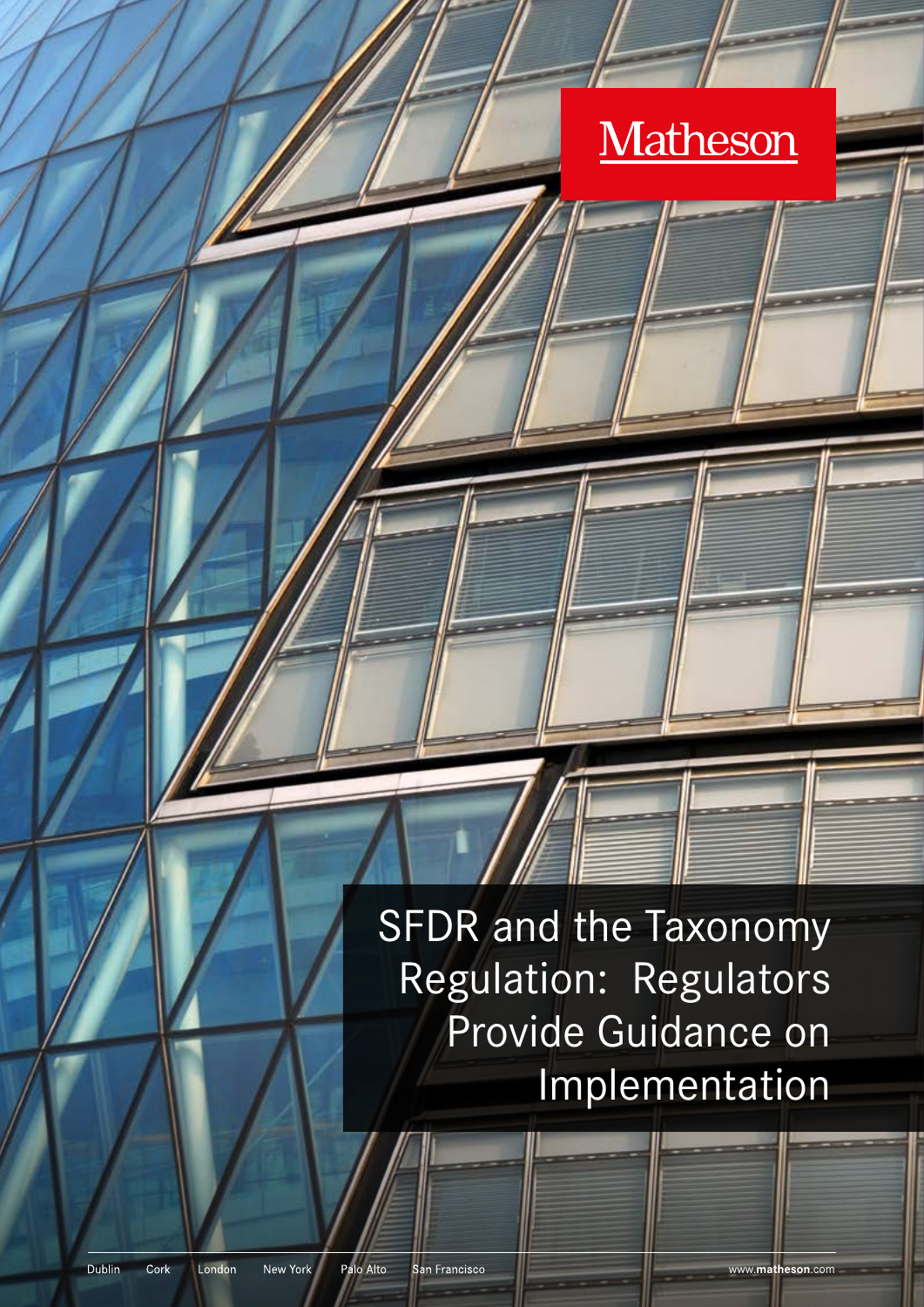# Matheson

SFDR and the Taxonomy Regulation: Regulators Provide Guidance on Implementation

Dublin Cork London New York

San Francisco

www.**matheson**.com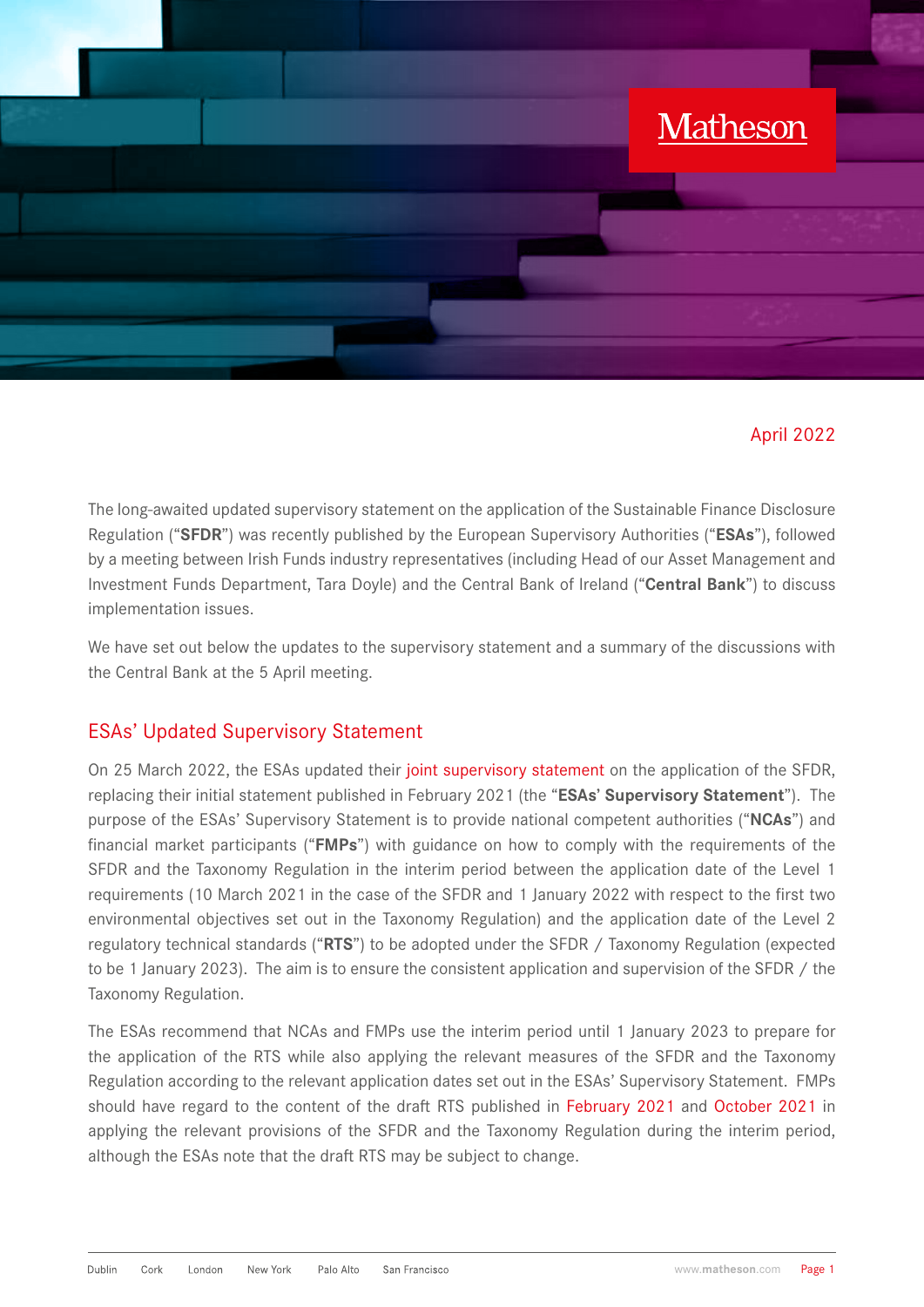

#### April 2022

The long-awaited updated supervisory statement on the application of the Sustainable Finance Disclosure Regulation ("**SFDR**") was recently published by the European Supervisory Authorities ("**ESAs**"), followed by a meeting between Irish Funds industry representatives (including Head of our Asset Management and Investment Funds Department, Tara Doyle) and the Central Bank of Ireland ("**Central Bank**") to discuss implementation issues.

We have set out below the updates to the supervisory statement and a summary of the discussions with the Central Bank at the 5 April meeting.

### ESAs' Updated Supervisory Statement

On 25 March 2022, the ESAs updated their [joint supervisory statement](https://www.esma.europa.eu/sites/default/files/library/jc_2022_12_-_updated_supervisory_statement_on_the_application_of_the_sfdr.pdf) on the application of the SFDR, replacing their initial statement published in February 2021 (the "**ESAs' Supervisory Statement**"). The purpose of the ESAs' Supervisory Statement is to provide national competent authorities ("**NCAs**") and financial market participants ("**FMPs**") with guidance on how to comply with the requirements of the SFDR and the Taxonomy Regulation in the interim period between the application date of the Level 1 requirements (10 March 2021 in the case of the SFDR and 1 January 2022 with respect to the first two environmental objectives set out in the Taxonomy Regulation) and the application date of the Level 2 regulatory technical standards ("**RTS**") to be adopted under the SFDR / Taxonomy Regulation (expected to be 1 January 2023). The aim is to ensure the consistent application and supervision of the SFDR / the Taxonomy Regulation.

The ESAs recommend that NCAs and FMPs use the interim period until 1 January 2023 to prepare for the application of the RTS while also applying the relevant measures of the SFDR and the Taxonomy Regulation according to the relevant application dates set out in the ESAs' Supervisory Statement. FMPs should have regard to the content of the draft RTS published in [February 2021](https://www.esma.europa.eu/sites/default/files/library/jc_2021_03_joint_esas_final_report_on_rts_under_sfdr.pdf) and [October 2021](https://www.esma.europa.eu/sites/default/files/library/jc_2021_50_-_final_report_on_taxonomy-related_product_disclosure_rts.pdf) in applying the relevant provisions of the SFDR and the Taxonomy Regulation during the interim period, although the ESAs note that the draft RTS may be subject to change.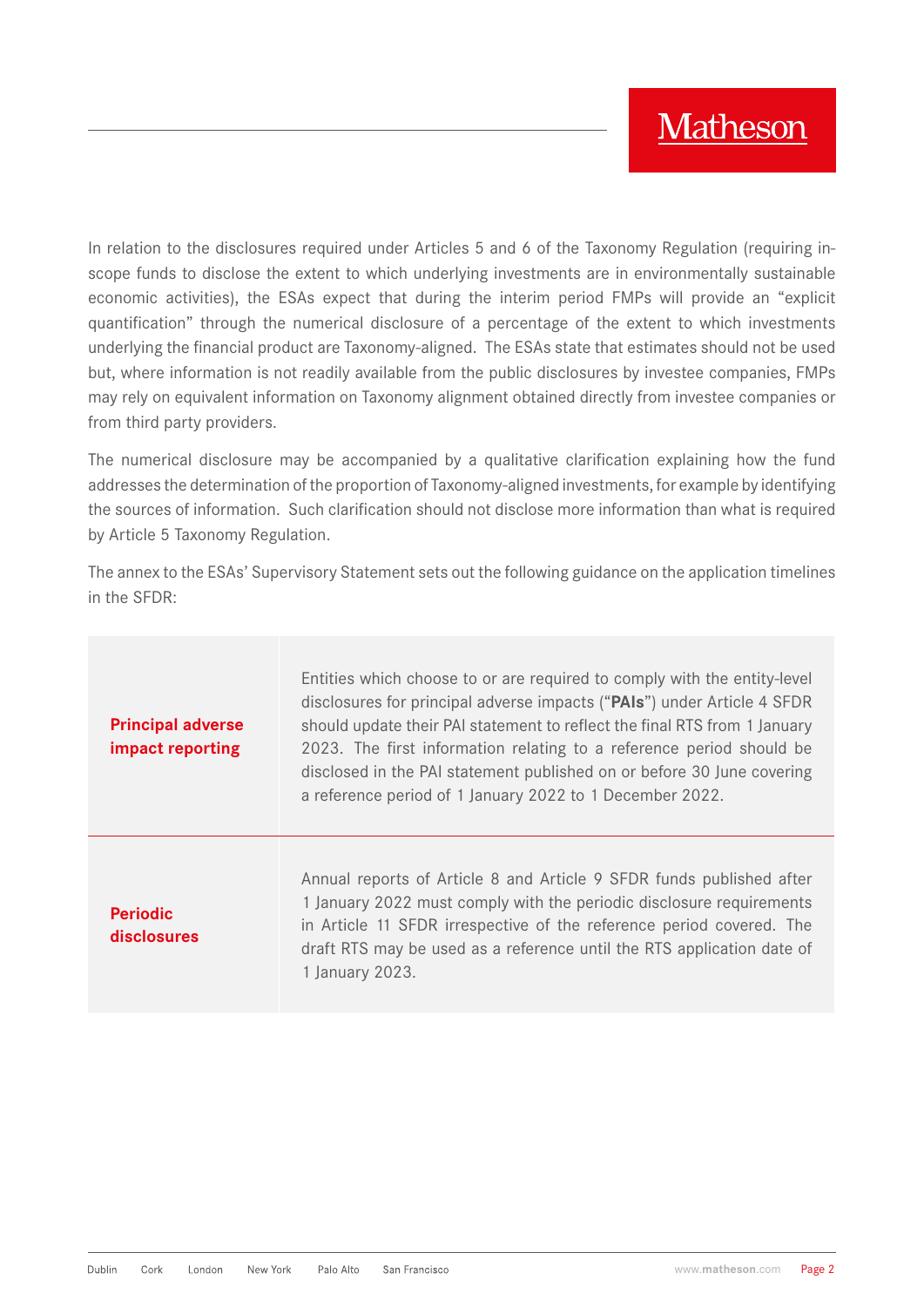In relation to the disclosures required under Articles 5 and 6 of the Taxonomy Regulation (requiring inscope funds to disclose the extent to which underlying investments are in environmentally sustainable economic activities), the ESAs expect that during the interim period FMPs will provide an "explicit quantification" through the numerical disclosure of a percentage of the extent to which investments underlying the financial product are Taxonomy-aligned. The ESAs state that estimates should not be used but, where information is not readily available from the public disclosures by investee companies, FMPs may rely on equivalent information on Taxonomy alignment obtained directly from investee companies or from third party providers.

The numerical disclosure may be accompanied by a qualitative clarification explaining how the fund addresses the determination of the proportion of Taxonomy-aligned investments, for example by identifying the sources of information. Such clarification should not disclose more information than what is required by Article 5 Taxonomy Regulation.

The annex to the ESAs' Supervisory Statement sets out the following guidance on the application timelines in the SFDR:

| <b>Principal adverse</b><br>impact reporting | Entities which choose to or are required to comply with the entity-level<br>disclosures for principal adverse impacts ("PAIs") under Article 4 SFDR<br>should update their PAI statement to reflect the final RTS from 1 January<br>2023. The first information relating to a reference period should be<br>disclosed in the PAI statement published on or before 30 June covering<br>a reference period of 1 January 2022 to 1 December 2022. |
|----------------------------------------------|------------------------------------------------------------------------------------------------------------------------------------------------------------------------------------------------------------------------------------------------------------------------------------------------------------------------------------------------------------------------------------------------------------------------------------------------|
| <b>Periodic</b><br>disclosures               | Annual reports of Article 8 and Article 9 SFDR funds published after<br>1 January 2022 must comply with the periodic disclosure requirements<br>in Article 11 SFDR irrespective of the reference period covered. The<br>draft RTS may be used as a reference until the RTS application date of<br>1 January 2023.                                                                                                                              |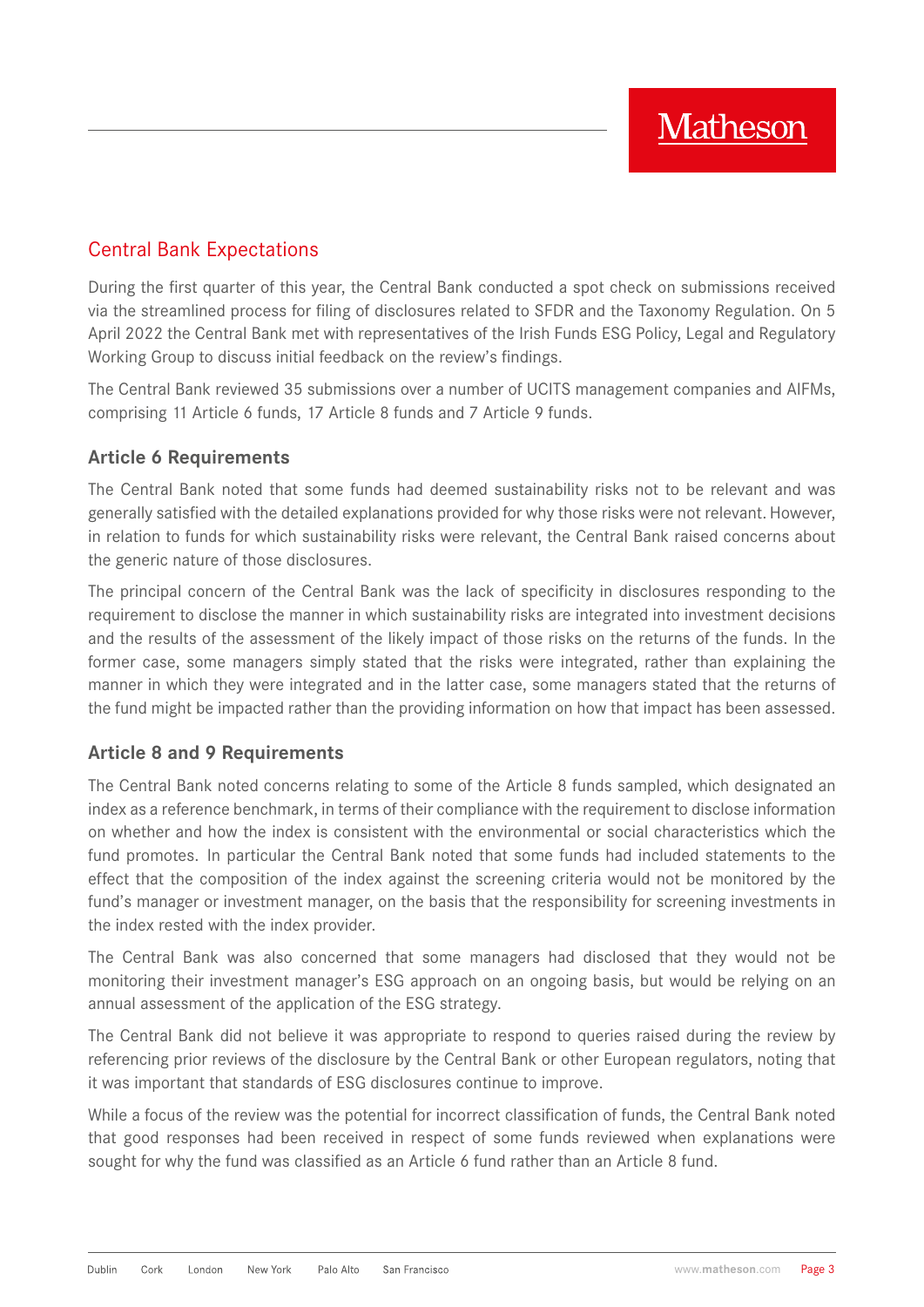### Central Bank Expectations

During the first quarter of this year, the Central Bank conducted a spot check on submissions received via the streamlined process for filing of disclosures related to SFDR and the Taxonomy Regulation. On 5 April 2022 the Central Bank met with representatives of the Irish Funds ESG Policy, Legal and Regulatory Working Group to discuss initial feedback on the review's findings.

The Central Bank reviewed 35 submissions over a number of UCITS management companies and AIFMs, comprising 11 Article 6 funds, 17 Article 8 funds and 7 Article 9 funds.

#### **Article 6 Requirements**

The Central Bank noted that some funds had deemed sustainability risks not to be relevant and was generally satisfied with the detailed explanations provided for why those risks were not relevant. However, in relation to funds for which sustainability risks were relevant, the Central Bank raised concerns about the generic nature of those disclosures.

The principal concern of the Central Bank was the lack of specificity in disclosures responding to the requirement to disclose the manner in which sustainability risks are integrated into investment decisions and the results of the assessment of the likely impact of those risks on the returns of the funds. In the former case, some managers simply stated that the risks were integrated, rather than explaining the manner in which they were integrated and in the latter case, some managers stated that the returns of the fund might be impacted rather than the providing information on how that impact has been assessed.

#### **Article 8 and 9 Requirements**

The Central Bank noted concerns relating to some of the Article 8 funds sampled, which designated an index as a reference benchmark, in terms of their compliance with the requirement to disclose information on whether and how the index is consistent with the environmental or social characteristics which the fund promotes. In particular the Central Bank noted that some funds had included statements to the effect that the composition of the index against the screening criteria would not be monitored by the fund's manager or investment manager, on the basis that the responsibility for screening investments in the index rested with the index provider.

The Central Bank was also concerned that some managers had disclosed that they would not be monitoring their investment manager's ESG approach on an ongoing basis, but would be relying on an annual assessment of the application of the ESG strategy.

The Central Bank did not believe it was appropriate to respond to queries raised during the review by referencing prior reviews of the disclosure by the Central Bank or other European regulators, noting that it was important that standards of ESG disclosures continue to improve.

While a focus of the review was the potential for incorrect classification of funds, the Central Bank noted that good responses had been received in respect of some funds reviewed when explanations were sought for why the fund was classified as an Article 6 fund rather than an Article 8 fund.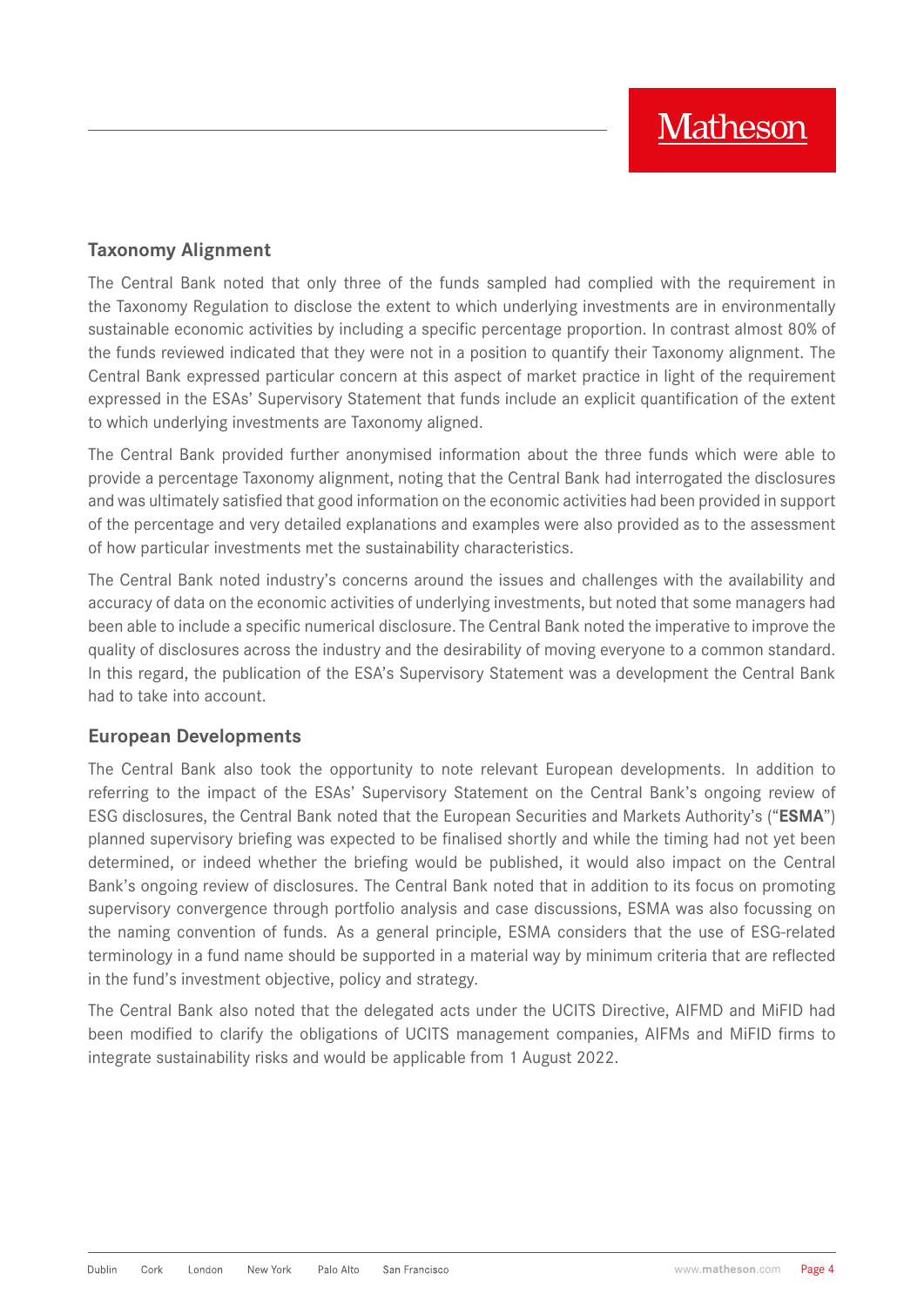#### **Taxonomy Alignment**

The Central Bank noted that only three of the funds sampled had complied with the requirement in the Taxonomy Regulation to disclose the extent to which underlying investments are in environmentally sustainable economic activities by including a specific percentage proportion. In contrast almost 80% of the funds reviewed indicated that they were not in a position to quantify their Taxonomy alignment. The Central Bank expressed particular concern at this aspect of market practice in light of the requirement expressed in the ESAs' Supervisory Statement that funds include an explicit quantification of the extent to which underlying investments are Taxonomy aligned.

The Central Bank provided further anonymised information about the three funds which were able to provide a percentage Taxonomy alignment, noting that the Central Bank had interrogated the disclosures and was ultimately satisfied that good information on the economic activities had been provided in support of the percentage and very detailed explanations and examples were also provided as to the assessment of how particular investments met the sustainability characteristics.

The Central Bank noted industry's concerns around the issues and challenges with the availability and accuracy of data on the economic activities of underlying investments, but noted that some managers had been able to include a specific numerical disclosure. The Central Bank noted the imperative to improve the quality of disclosures across the industry and the desirability of moving everyone to a common standard. In this regard, the publication of the ESA's Supervisory Statement was a development the Central Bank had to take into account.

#### **European Developments**

The Central Bank also took the opportunity to note relevant European developments. In addition to referring to the impact of the ESAs' Supervisory Statement on the Central Bank's ongoing review of ESG disclosures, the Central Bank noted that the European Securities and Markets Authority's ("**ESMA**") planned supervisory briefing was expected to be finalised shortly and while the timing had not yet been determined, or indeed whether the briefing would be published, it would also impact on the Central Bank's ongoing review of disclosures. The Central Bank noted that in addition to its focus on promoting supervisory convergence through portfolio analysis and case discussions, ESMA was also focussing on the naming convention of funds. As a general principle, ESMA considers that the use of ESG-related terminology in a fund name should be supported in a material way by minimum criteria that are reflected in the fund's investment objective, policy and strategy.

The Central Bank also noted that the delegated acts under the UCITS Directive, AIFMD and MiFID had been modified to clarify the obligations of UCITS management companies, AIFMs and MiFID firms to integrate sustainability risks and would be applicable from 1 August 2022.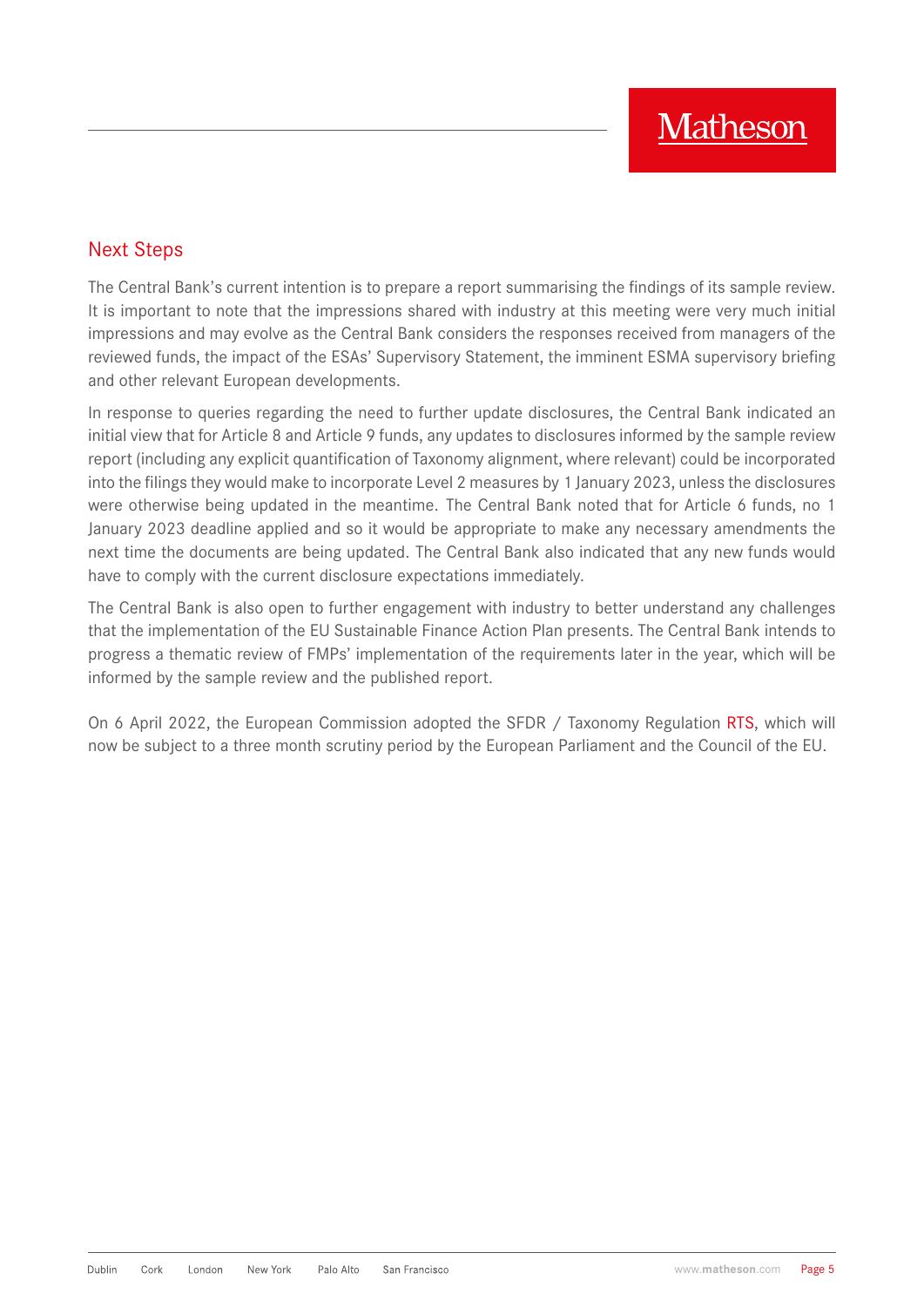### Next Steps

The Central Bank's current intention is to prepare a report summarising the findings of its sample review. It is important to note that the impressions shared with industry at this meeting were very much initial impressions and may evolve as the Central Bank considers the responses received from managers of the reviewed funds, the impact of the ESAs' Supervisory Statement, the imminent ESMA supervisory briefing and other relevant European developments.

In response to queries regarding the need to further update disclosures, the Central Bank indicated an initial view that for Article 8 and Article 9 funds, any updates to disclosures informed by the sample review report (including any explicit quantification of Taxonomy alignment, where relevant) could be incorporated into the filings they would make to incorporate Level 2 measures by 1 January 2023, unless the disclosures were otherwise being updated in the meantime. The Central Bank noted that for Article 6 funds, no 1 January 2023 deadline applied and so it would be appropriate to make any necessary amendments the next time the documents are being updated. The Central Bank also indicated that any new funds would have to comply with the current disclosure expectations immediately.

The Central Bank is also open to further engagement with industry to better understand any challenges that the implementation of the EU Sustainable Finance Action Plan presents. The Central Bank intends to progress a thematic review of FMPs' implementation of the requirements later in the year, which will be informed by the sample review and the published report.

On 6 April 2022, the European Commission adopted the SFDR / Taxonomy Regulation [RTS](https://ec.europa.eu/info/business-economy-euro/banking-and-finance/sustainable-finance/sustainability-related-disclosure-financial-services-sector_en), which will now be subject to a three month scrutiny period by the European Parliament and the Council of the EU.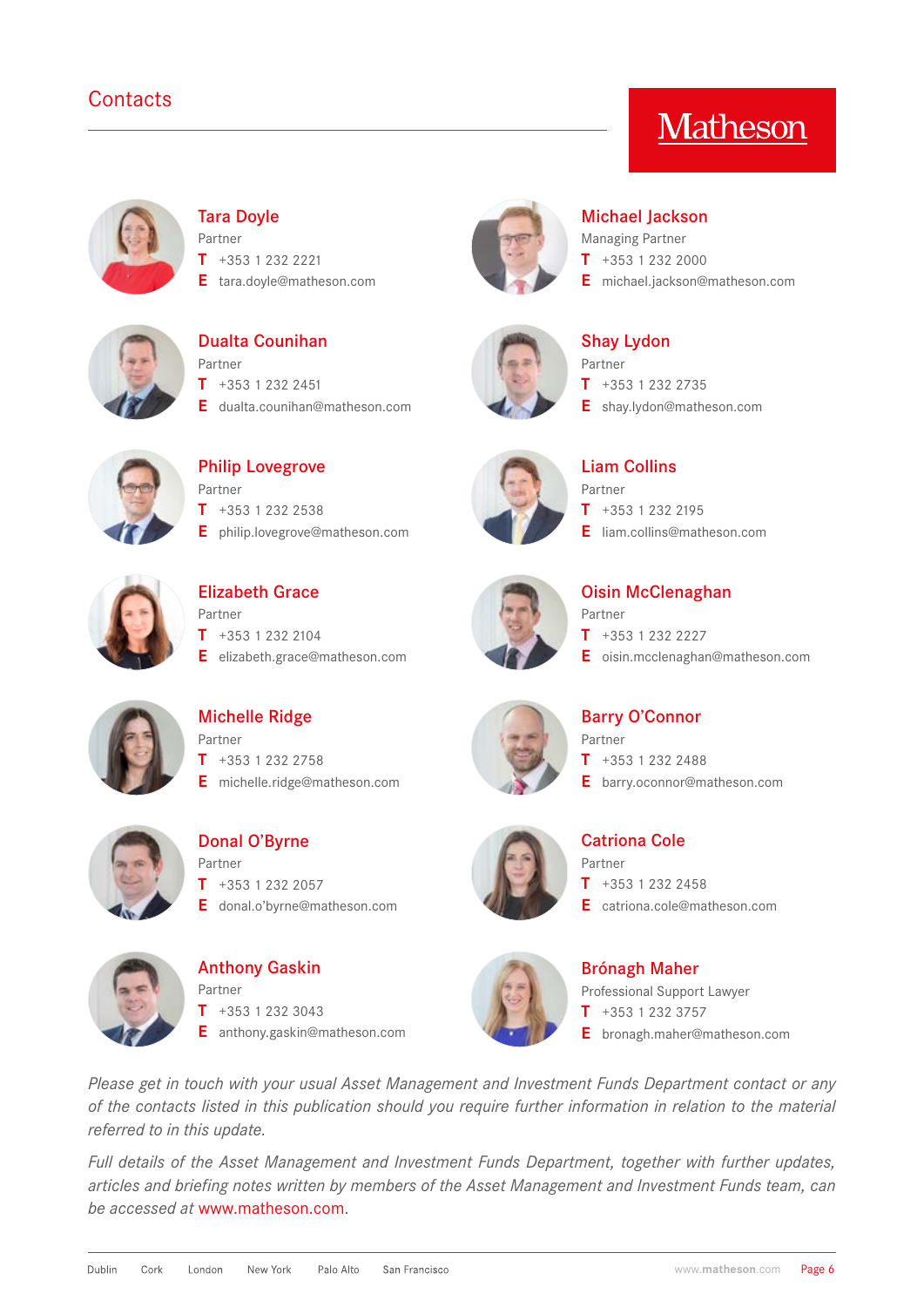## **Contacts**

# **Matheson**



#### [Tara Doyle](https://www.matheson.com/people/tara-doyle)

Partner **T** +353 1 232 2221

**E** tara.doyle@matheson.com



#### [Dualta Counihan](https://www.matheson.com/people/dualta-counihan) Partner **T** +353 1 232 2451

**E** dualta.counihan@matheson.com



[Philip Lovegrove](https://www.matheson.com/people/philip-lovegrove) Partner **T** +353 1 232 2538 **E** philip.lovegrove@matheson.com



# [Elizabeth Grace](https://www.matheson.com/people/elizabeth-grace) Partner

**T** +353 1 232 2104 **E** elizabeth.grace@matheson.com



#### [Michael Jackson](https://www.matheson.com/people/michael-jackson)

Managing Partner **T** +353 1 232 2000 **E** michael.jackson@matheson.com



#### [Shay Lydon](https://www.matheson.com/people/shay-lydon) Partner **T** +353 1 232 2735 **E** shay.lydon@matheson.com



[Liam Collins](https://www.matheson.com/people/liam-collins) Partner **T** +353 1 232 2195 **E** liam.collins@matheson.com

# [Oisin McClenaghan](https://www.matheson.com/people/oisin-mcclenaghan)

- Partner **T** +353 1 232 2227
- **E** oisin.mcclenaghan@matheson.com



[Michelle Ridge](https://www.matheson.com/people/michelle-ridge) Partner **T** +353 1 232 2758 **E** michelle.ridge@matheson.com



[Donal O'Byrne](https://www.matheson.com/people/donal-o) Partner **T** +353 1 232 2057

**E** donal.o'byrne@matheson.com



[Anthony Gaskin](mailto:anthony.gaskin%40matheson.com?subject=) Partner **T** +353 1 232 3043 **E** anthony.gaskin@matheson.com





**T** +353 1 232 2488

**E** barry.oconnor@matheson.com



#### [Catriona Cole](https://www.matheson.com/people/catriona-cole) Partner

 $\overline{I}$  +353 1 232 2458 **E** catriona.cole@matheson.com



#### [Brónagh Maher](mailto:bronagh.maher%40matheson.com?subject=) Professional Support Lawyer

**T** +353 1 232 3757 **E** bronagh.maher@matheson.com

*Please get in touch with your usual Asset Management and Investment Funds Department contact or any of the contacts listed in this publication should you require further information in relation to the material referred to in this update.*

*Full details of the Asset Management and Investment Funds Department, together with further updates, articles and briefing notes written by members of the Asset Management and Investment Funds team, can be accessed at* [www.matheson.com.](http://www.matheson.com)